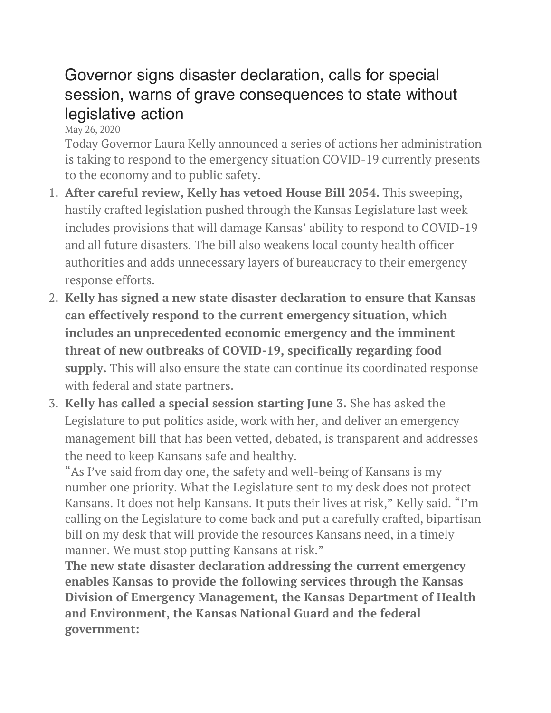## Governor signs disaster declaration, calls for special session, warns of grave consequences to state without legislative action

May 26, 2020

Today Governor Laura Kelly announced a series of actions her administration is taking to respond to the emergency situation COVID-19 currently presents to the economy and to public safety.

- 1. **After careful review, Kelly has vetoed House Bill 2054.** This sweeping, hastily crafted legislation pushed through the Kansas Legislature last week includes provisions that will damage Kansas' ability to respond to COVID-19 and all future disasters. The bill also weakens local county health officer authorities and adds unnecessary layers of bureaucracy to their emergency response efforts.
- 2. **Kelly has signed a new state disaster declaration to ensure that Kansas can effectively respond to the current emergency situation, which includes an unprecedented economic emergency and the imminent threat of new outbreaks of COVID-19, specifically regarding food supply.** This will also ensure the state can continue its coordinated response with federal and state partners.
- 3. **Kelly has called a special session starting June 3.** She has asked the Legislature to put politics aside, work with her, and deliver an emergency management bill that has been vetted, debated, is transparent and addresses the need to keep Kansans safe and healthy.

"As I've said from day one, the safety and well-being of Kansans is my number one priority. What the Legislature sent to my desk does not protect Kansans. It does not help Kansans. It puts their lives at risk," Kelly said. "I'm calling on the Legislature to come back and put a carefully crafted, bipartisan bill on my desk that will provide the resources Kansans need, in a timely manner. We must stop putting Kansans at risk."

**The new state disaster declaration addressing the current emergency enables Kansas to provide the following services through the Kansas Division of Emergency Management, the Kansas Department of Health and Environment, the Kansas National Guard and the federal government:**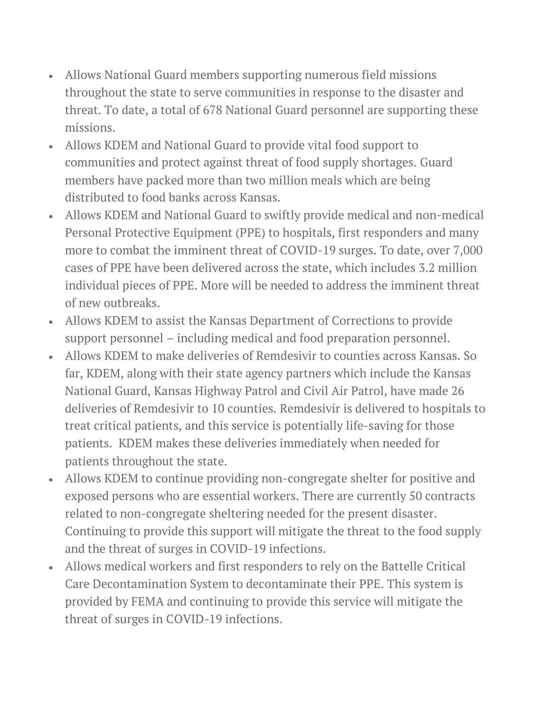- Allows National Guard members supporting numerous field missions throughout the state to serve communities in response to the disaster and threat. To date, a total of 678 National Guard personnel are supporting these missions.
- Allows KDEM and National Guard to provide vital food support to communities and protect against threat of food supply shortages. Guard members have packed more than two million meals which are being distributed to food banks across Kansas.
- Allows KDEM and National Guard to swiftly provide medical and non-medical Personal Protective Equipment (PPE) to hospitals, first responders and many more to combat the imminent threat of COVID-19 surges. To date, over 7,000 cases of PPE have been delivered across the state, which includes 3.2 million individual pieces of PPE. More will be needed to address the imminent threat of new outbreaks.
- Allows KDEM to assist the Kansas Department of Corrections to provide support personnel – including medical and food preparation personnel.
- Allows KDEM to make deliveries of Remdesivir to counties across Kansas. So far, KDEM, along with their state agency partners which include the Kansas National Guard, Kansas Highway Patrol and Civil Air Patrol, have made 26 deliveries of Remdesivir to 10 counties. Remdesivir is delivered to hospitals to treat critical patients, and this service is potentially life-saving for those patients. KDEM makes these deliveries immediately when needed for patients throughout the state.
- Allows KDEM to continue providing non-congregate shelter for positive and exposed persons who are essential workers. There are currently 50 contracts related to non-congregate sheltering needed for the present disaster. Continuing to provide this support will mitigate the threat to the food supply and the threat of surges in COVID-19 infections.
- Allows medical workers and first responders to rely on the Battelle Critical Care Decontamination System to decontaminate their PPE. This system is provided by FEMA and continuing to provide this service will mitigate the threat of surges in COVID-19 infections.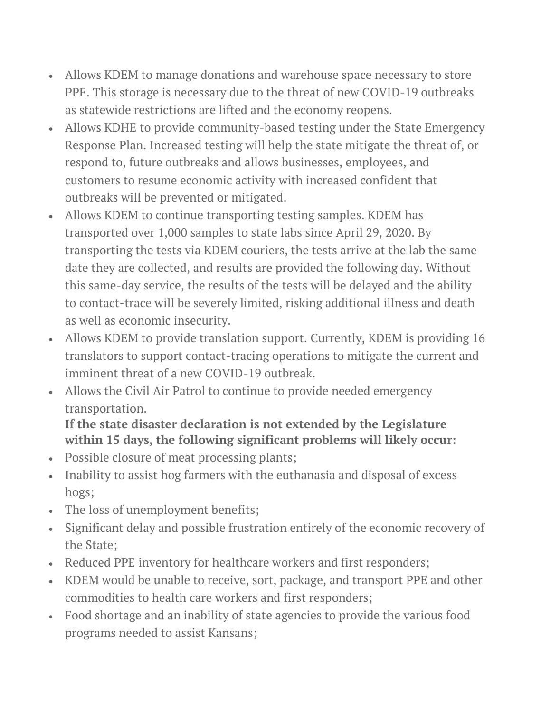- Allows KDEM to manage donations and warehouse space necessary to store PPE. This storage is necessary due to the threat of new COVID-19 outbreaks as statewide restrictions are lifted and the economy reopens.
- Allows KDHE to provide community-based testing under the State Emergency Response Plan. Increased testing will help the state mitigate the threat of, or respond to, future outbreaks and allows businesses, employees, and customers to resume economic activity with increased confident that outbreaks will be prevented or mitigated.
- Allows KDEM to continue transporting testing samples. KDEM has transported over 1,000 samples to state labs since April 29, 2020. By transporting the tests via KDEM couriers, the tests arrive at the lab the same date they are collected, and results are provided the following day. Without this same-day service, the results of the tests will be delayed and the ability to contact-trace will be severely limited, risking additional illness and death as well as economic insecurity.
- Allows KDEM to provide translation support. Currently, KDEM is providing 16 translators to support contact-tracing operations to mitigate the current and imminent threat of a new COVID-19 outbreak.
- Allows the Civil Air Patrol to continue to provide needed emergency transportation.

## **If the state disaster declaration is not extended by the Legislature within 15 days, the following significant problems will likely occur:**

- Possible closure of meat processing plants;
- Inability to assist hog farmers with the euthanasia and disposal of excess hogs;
- The loss of unemployment benefits;
- Significant delay and possible frustration entirely of the economic recovery of the State;
- Reduced PPE inventory for healthcare workers and first responders;
- KDEM would be unable to receive, sort, package, and transport PPE and other commodities to health care workers and first responders;
- Food shortage and an inability of state agencies to provide the various food programs needed to assist Kansans;